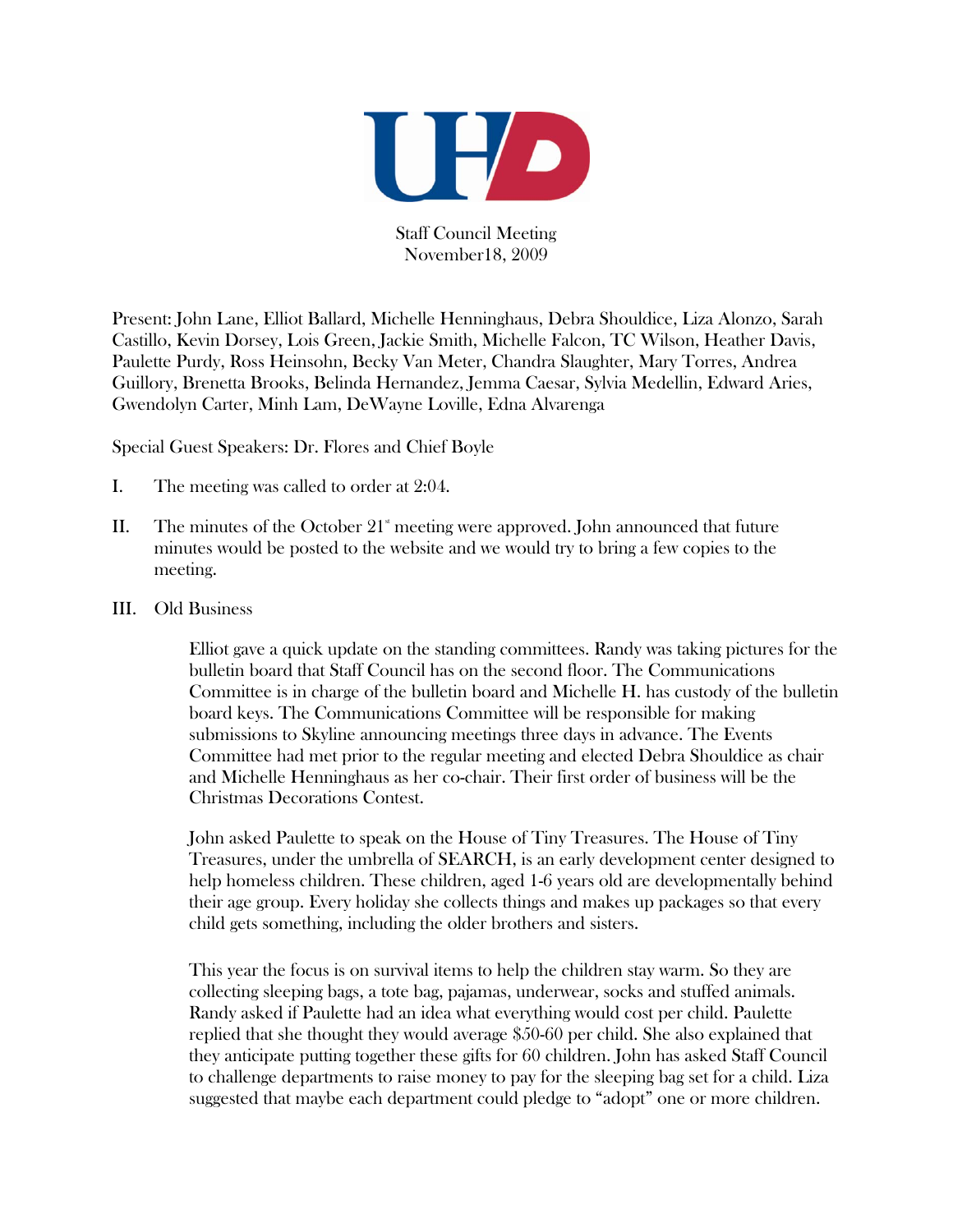

Staff Council Meeting November18, 2009

Present: John Lane, Elliot Ballard, Michelle Henninghaus, Debra Shouldice, Liza Alonzo, Sarah Castillo, Kevin Dorsey, Lois Green, Jackie Smith, Michelle Falcon, TC Wilson, Heather Davis, Paulette Purdy, Ross Heinsohn, Becky Van Meter, Chandra Slaughter, Mary Torres, Andrea Guillory, Brenetta Brooks, Belinda Hernandez, Jemma Caesar, Sylvia Medellin, Edward Aries, Gwendolyn Carter, Minh Lam, DeWayne Loville, Edna Alvarenga

Special Guest Speakers: Dr. Flores and Chief Boyle

- I. The meeting was called to order at 2:04.
- II. The minutes of the October  $21^{\degree}$  meeting were approved. John announced that future minutes would be posted to the website and we would try to bring a few copies to the meeting.
- III. Old Business

Elliot gave a quick update on the standing committees. Randy was taking pictures for the bulletin board that Staff Council has on the second floor. The Communications Committee is in charge of the bulletin board and Michelle H. has custody of the bulletin board keys. The Communications Committee will be responsible for making submissions to Skyline announcing meetings three days in advance. The Events Committee had met prior to the regular meeting and elected Debra Shouldice as chair and Michelle Henninghaus as her co-chair. Their first order of business will be the Christmas Decorations Contest.

John asked Paulette to speak on the House of Tiny Treasures. The House of Tiny Treasures, under the umbrella of SEARCH, is an early development center designed to help homeless children. These children, aged 1-6 years old are developmentally behind their age group. Every holiday she collects things and makes up packages so that every child gets something, including the older brothers and sisters.

This year the focus is on survival items to help the children stay warm. So they are collecting sleeping bags, a tote bag, pajamas, underwear, socks and stuffed animals. Randy asked if Paulette had an idea what everything would cost per child. Paulette replied that she thought they would average \$50-60 per child. She also explained that they anticipate putting together these gifts for 60 children. John has asked Staff Council to challenge departments to raise money to pay for the sleeping bag set for a child. Liza suggested that maybe each department could pledge to "adopt" one or more children.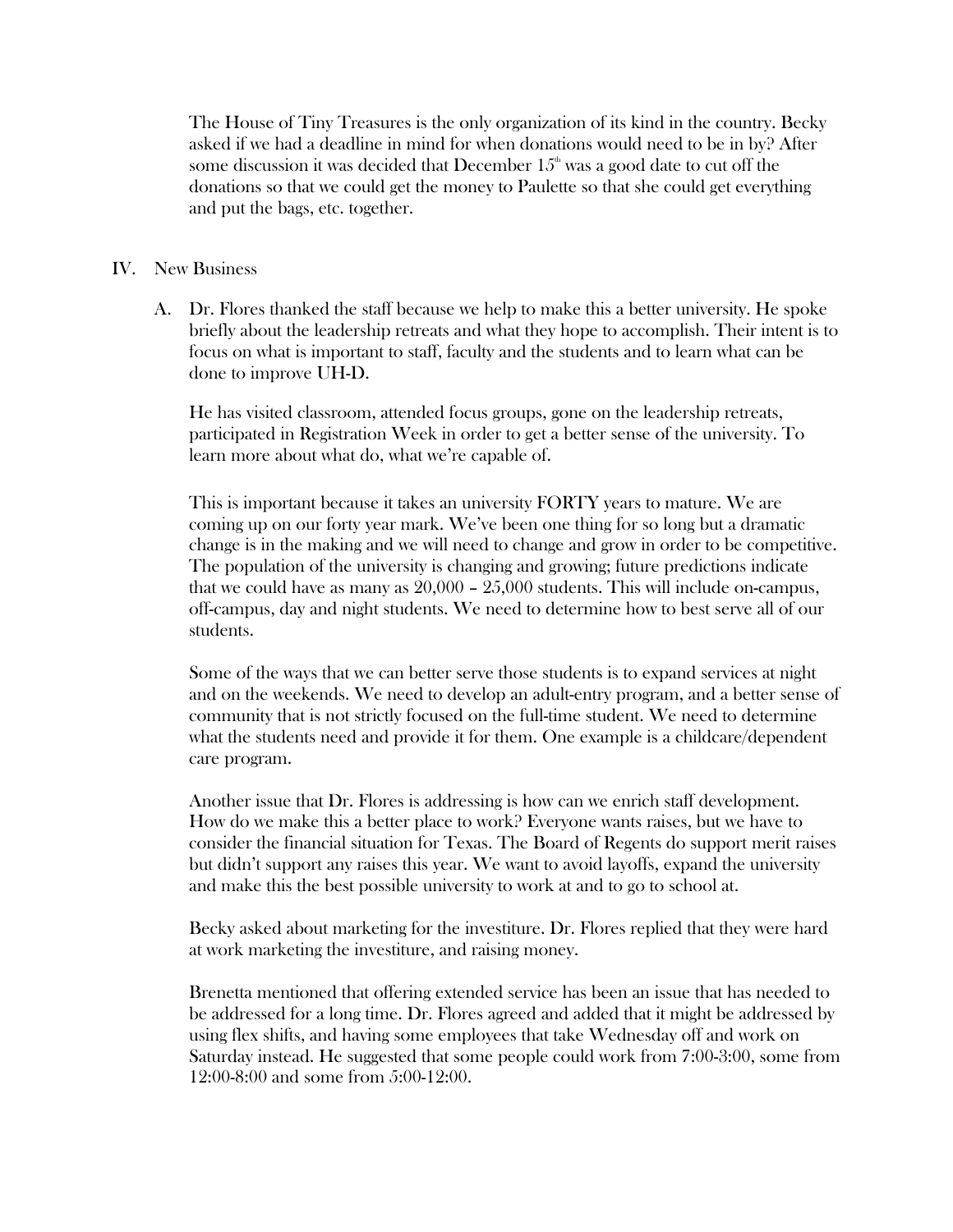The House of Tiny Treasures is the only organization of its kind in the country. Becky asked if we had a deadline in mind for when donations would need to be in by? After some discussion it was decided that December  $15<sup>th</sup>$  was a good date to cut off the donations so that we could get the money to Paulette so that she could get everything and put the bags, etc. together.

## IV. New Business

A. Dr. Flores thanked the staff because we help to make this a better university. He spoke briefly about the leadership retreats and what they hope to accomplish. Their intent is to focus on what is important to staff, faculty and the students and to learn what can be done to improve UH-D.

He has visited classroom, attended focus groups, gone on the leadership retreats, participated in Registration Week in order to get a better sense of the university. To learn more about what do, what we're capable of.

This is important because it takes an university FORTY years to mature. We are coming up on our forty year mark. We've been one thing for so long but a dramatic change is in the making and we will need to change and grow in order to be competitive. The population of the university is changing and growing; future predictions indicate that we could have as many as 20,000 – 25,000 students. This will include on-campus, off-campus, day and night students. We need to determine how to best serve all of our students.

Some of the ways that we can better serve those students is to expand services at night and on the weekends. We need to develop an adult-entry program, and a better sense of community that is not strictly focused on the full-time student. We need to determine what the students need and provide it for them. One example is a childcare/dependent care program.

Another issue that Dr. Flores is addressing is how can we enrich staff development. How do we make this a better place to work? Everyone wants raises, but we have to consider the financial situation for Texas. The Board of Regents do support merit raises but didn't support any raises this year. We want to avoid layoffs, expand the university and make this the best possible university to work at and to go to school at.

Becky asked about marketing for the investiture. Dr. Flores replied that they were hard at work marketing the investiture, and raising money.

Brenetta mentioned that offering extended service has been an issue that has needed to be addressed for a long time. Dr. Flores agreed and added that it might be addressed by using flex shifts, and having some employees that take Wednesday off and work on Saturday instead. He suggested that some people could work from 7:00-3:00, some from 12:00-8:00 and some from 5:00-12:00.